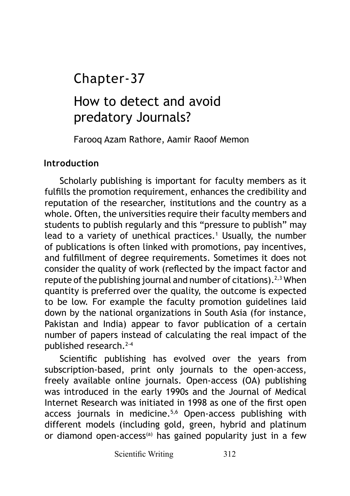## Chapter-37

# How to detect and avoid predatory Journals?

Farooq Azam Rathore, Aamir Raoof Memon

## **Introduction**

Scholarly publishing is important for faculty members as it fulfills the promotion requirement, enhances the credibility and reputation of the researcher, institutions and the country as a whole. Often, the universities require their faculty members and students to publish regularly and this "pressure to publish" may lead to a variety of unethical practices.<sup>1</sup> Usually, the number of publications is often linked with promotions, pay incentives, and fulfillment of degree requirements. Sometimes it does not consider the quality of work (reflected by the impact factor and repute of the publishing journal and number of citations).<sup>2,3</sup> When quantity is preferred over the quality, the outcome is expected to be low. For example the faculty promotion guidelines laid down by the national organizations in South Asia (for instance, Pakistan and India) appear to favor publication of a certain number of papers instead of calculating the real impact of the published research.2-4

Scientific publishing has evolved over the years from subscription-based, print only journals to the open-access, freely available online journals. Open-access (OA) publishing was introduced in the early 1990s and the Journal of Medical Internet Research was initiated in 1998 as one of the first open access journals in medicine.5,6 Open-access publishing with different models (including gold, green, hybrid and platinum or diamond open-access<sup>(a)</sup> has gained popularity just in a few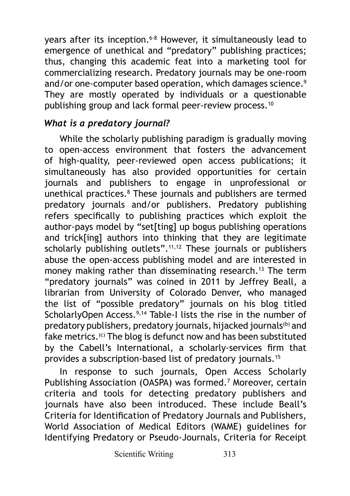years after its inception.<sup>6-8</sup> However, it simultaneously lead to emergence of unethical and "predatory" publishing practices; thus, changing this academic feat into a marketing tool for commercializing research. Predatory journals may be one-room and/or one-computer based operation, which damages science.<sup>9</sup> They are mostly operated by individuals or a questionable publishing group and lack formal peer-review process.<sup>10</sup>

## *What is a predatory journal?*

While the scholarly publishing paradigm is gradually moving to open-access environment that fosters the advancement of high-quality, peer-reviewed open access publications; it simultaneously has also provided opportunities for certain journals and publishers to engage in unprofessional or unethical practices.8 These journals and publishers are termed predatory journals and/or publishers. Predatory publishing refers specifically to publishing practices which exploit the author-pays model by "set[ting] up bogus publishing operations and trick[ing] authors into thinking that they are legitimate scholarly publishing outlets".<sup>11,12</sup> These journals or publishers abuse the open-access publishing model and are interested in money making rather than disseminating research.<sup>13</sup> The term "predatory journals" was coined in 2011 by Jeffrey Beall, a librarian from University of Colorado Denver, who managed the list of "possible predatory" journals on his blog titled ScholarlyOpen Access.<sup>9,14</sup> Table-I lists the rise in the number of predatory publishers, predatory journals, hijacked journals<sup>(b)</sup> and fake metrics.<sup>(c)</sup> The blog is defunct now and has been substituted by the Cabell's International, a scholarly-services firm that provides a subscription-based list of predatory journals.15

In response to such journals, Open Access Scholarly Publishing Association (OASPA) was formed.<sup>7</sup> Moreover, certain criteria and tools for detecting predatory publishers and journals have also been introduced. These include Beall's Criteria for Identification of Predatory Journals and Publishers, World Association of Medical Editors (WAME) guidelines for Identifying Predatory or Pseudo-Journals, Criteria for Receipt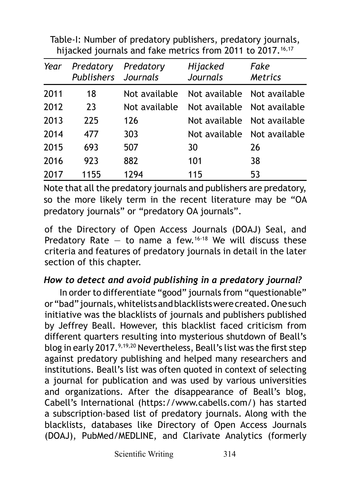Table-I: Number of predatory publishers, predatory journals, hijacked journals and fake metrics from 2011 to 2017.<sup>16,17</sup>

| Year | Predatory<br>Publishers Journals | Predatory     | Hijacked<br>Journals | Fake<br><b>Metrics</b>      |
|------|----------------------------------|---------------|----------------------|-----------------------------|
| 2011 | 18                               | Not available |                      | Not available Not available |
| 2012 | 23                               | Not available |                      | Not available Not available |
| 2013 | 225                              | 126           |                      | Not available Not available |
| 2014 | 477                              | 303           |                      | Not available Not available |
| 2015 | 693                              | 507           | 30                   | 26                          |
| 2016 | 923                              | 882           | 101                  | 38                          |
| 2017 | 1155                             | 1294          | 115                  | 53                          |

Note that all the predatory journals and publishers are predatory, so the more likely term in the recent literature may be "OA predatory journals" or "predatory OA journals".

of the Directory of Open Access Journals (DOAJ) Seal, and Predatory Rate – to name a few.<sup>16-18</sup> We will discuss these criteria and features of predatory journals in detail in the later section of this chapter.

## *How to detect and avoid publishing in a predatory journal?*

In order to differentiate "good" journals from "questionable" or "bad" journals, whitelists and blacklists were created. One such initiative was the blacklists of journals and publishers published by Jeffrey Beall. However, this blacklist faced criticism from different quarters resulting into mysterious shutdown of Beall's blog in early 2017.<sup>9,19,20</sup> Nevertheless, Beall's list was the first step against predatory publishing and helped many researchers and institutions. Beall's list was often quoted in context of selecting a journal for publication and was used by various universities and organizations. After the disappearance of Beall's blog, Cabell's International ([https://www.cabells.com/\)](https://www.cabells.com/) has started a subscription-based list of predatory journals. Along with the blacklists, databases like Directory of Open Access Journals (DOAJ), PubMed/MEDLINE, and Clarivate Analytics (formerly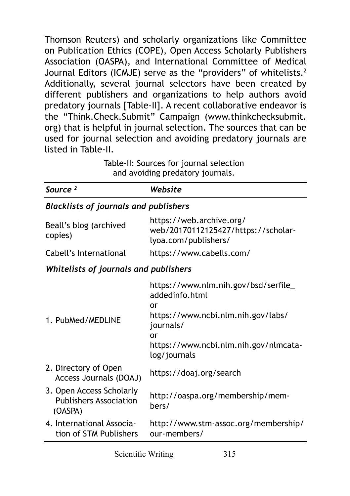Thomson Reuters) and scholarly organizations like Committee on Publication Ethics (COPE), Open Access Scholarly Publishers Association (OASPA), and International Committee of Medical Journal Editors (ICMJE) serve as the "providers" of whitelists.<sup>2</sup> Additionally, several journal selectors have been created by different publishers and organizations to help authors avoid predatory journals [Table-II]. A recent collaborative endeavor is the "Think.Check.Submit" Campaign [\(www.thinkchecksubmit.](http://www.thinkchecksubmit.org) [org](http://www.thinkchecksubmit.org)) that is helpful in journal selection. The sources that can be used for journal selection and avoiding predatory journals are listed in Table-II.

| Table-II: Sources for journal selection |
|-----------------------------------------|
| and avoiding predatory journals.        |

| Source <sup>2</sup>                                                  | Website                                                                                                                                                                        |  |  |  |
|----------------------------------------------------------------------|--------------------------------------------------------------------------------------------------------------------------------------------------------------------------------|--|--|--|
| <b>Blacklists of journals and publishers</b>                         |                                                                                                                                                                                |  |  |  |
| Beall's blog (archived<br>copies)                                    | https://web.archive.org/<br>web/20170112125427/https://scholar-<br>lyoa.com/publishers/                                                                                        |  |  |  |
| Cabell's International                                               | https://www.cabells.com/                                                                                                                                                       |  |  |  |
| Whitelists of journals and publishers                                |                                                                                                                                                                                |  |  |  |
| 1. PubMed/MEDLINE                                                    | https://www.nlm.nih.gov/bsd/serfile_<br>addedinfo.html<br>or<br>https://www.ncbi.nlm.nih.gov/labs/<br>journals/<br>or<br>https://www.ncbi.nlm.nih.gov/nlmcata-<br>log/journals |  |  |  |
| 2. Directory of Open<br>Access Journals (DOAJ)                       | https://doaj.org/search                                                                                                                                                        |  |  |  |
| 3. Open Access Scholarly<br><b>Publishers Association</b><br>(OASPA) | http://oaspa.org/membership/mem-<br>bers/                                                                                                                                      |  |  |  |
| 4. International Associa-<br>tion of STM Publishers                  | http://www.stm-assoc.org/membership/<br>our-members/                                                                                                                           |  |  |  |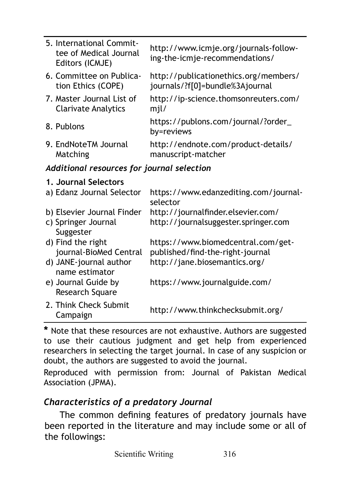|                                            | 5. International Commit-<br>tee of Medical Journal<br>Editors (ICMJE) | http://www.icmje.org/journals-follow-<br>ing-the-icmje-recommendations/  |  |  |
|--------------------------------------------|-----------------------------------------------------------------------|--------------------------------------------------------------------------|--|--|
|                                            | 6. Committee on Publica-<br>tion Ethics (COPE)                        | http://publicationethics.org/members/<br>journals/?f[0]=bundle%3Ajournal |  |  |
|                                            | 7. Master Journal List of<br><b>Clarivate Analytics</b>               | http://ip-science.thomsonreuters.com/<br>mjl/                            |  |  |
|                                            | 8. Publons                                                            | https://publons.com/journal/?order_<br>by=reviews                        |  |  |
|                                            | 9. EndNoteTM Journal<br>Matching                                      | http://endnote.com/product-details/<br>manuscript-matcher                |  |  |
| Additional resources for journal selection |                                                                       |                                                                          |  |  |
|                                            | 1. Journal Selectors                                                  |                                                                          |  |  |
|                                            | a) Edanz Journal Selector                                             | https://www.edanzediting.com/journal-<br>selector                        |  |  |
|                                            | b) Elsevier Journal Finder                                            | http://journalfinder.elsevier.com/                                       |  |  |
|                                            | c) Springer Journal<br>Suggester                                      | http://journalsuggester.springer.com                                     |  |  |
|                                            | d) Find the right<br>journal-BioMed Central                           | https://www.biomedcentral.com/get-<br>published/find-the-right-journal   |  |  |
|                                            | d) JANE-journal author                                                | http://jane.biosemantics.org/                                            |  |  |

 name estimator e) Journal Guide by Research Square <https://www.journalguide.com/> 2. Think Check Submit Campaign <http://www.thinkchecksubmit.org/>

**\*** Note that these resources are not exhaustive. Authors are suggested to use their cautious judgment and get help from experienced researchers in selecting the target journal. In case of any suspicion or doubt, the authors are suggested to avoid the journal.

Reproduced with permission from: Journal of Pakistan Medical Association (JPMA).

### *Characteristics of a predatory Journal*

The common defining features of predatory journals have been reported in the literature and may include some or all of the followings: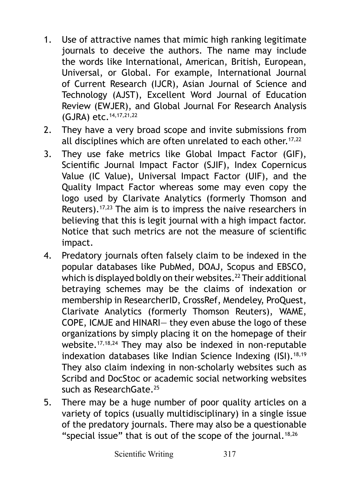- 1. Use of attractive names that mimic high ranking legitimate journals to deceive the authors. The name may include the words like International, American, British, European, Universal, or Global. For example, International Journal of Current Research (IJCR), Asian Journal of Science and Technology (AJST), Excellent Word Journal of Education Review (EWJER), and Global Journal For Research Analysis (GJRA) etc.14,17,21,22
- 2. They have a very broad scope and invite submissions from all disciplines which are often unrelated to each other.<sup>17,22</sup>
- 3. They use fake metrics like Global Impact Factor (GIF), Scientific Journal Impact Factor (SJIF), Index Copernicus Value (IC Value), Universal Impact Factor (UIF), and the Quality Impact Factor whereas some may even copy the logo used by Clarivate Analytics (formerly Thomson and Reuters).<sup>17,23</sup> The aim is to impress the naive researchers in believing that this is legit journal with a high impact factor. Notice that such metrics are not the measure of scientific impact.
- 4. Predatory journals often falsely claim to be indexed in the popular databases like PubMed, DOAJ, Scopus and EBSCO, which is displayed boldly on their websites.<sup>22</sup> Their additional betraying schemes may be the claims of indexation or membership in ResearcherID, CrossRef, Mendeley, ProQuest, Clarivate Analytics (formerly Thomson Reuters), WAME, COPE, ICMJE and HINARI― they even abuse the logo of these organizations by simply placing it on the homepage of their website.17,18,24 They may also be indexed in non-reputable indexation databases like Indian Science Indexing (ISI).<sup>18,19</sup> They also claim indexing in non-scholarly websites such as Scribd and DocStoc or academic social networking websites such as ResearchGate.25
- 5. There may be a huge number of poor quality articles on a variety of topics (usually multidisciplinary) in a single issue of the predatory journals. There may also be a questionable "special issue" that is out of the scope of the journal. $18,26$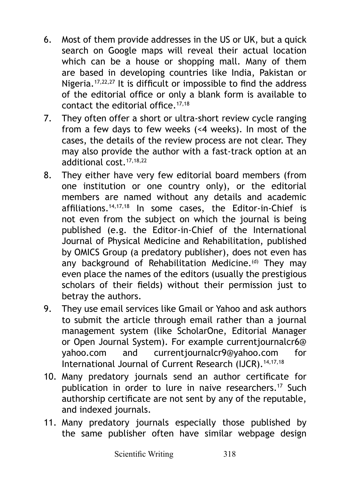- 6. Most of them provide addresses in the US or UK, but a quick search on Google maps will reveal their actual location which can be a house or shopping mall. Many of them are based in developing countries like India, Pakistan or Nigeria.<sup>17,22,27</sup> It is difficult or impossible to find the address of the editorial office or only a blank form is available to contact the editorial office.17,18
- 7. They often offer a short or ultra-short review cycle ranging from a few days to few weeks (<4 weeks). In most of the cases, the details of the review process are not clear. They may also provide the author with a fast-track option at an additional cost.17,18,22
- 8. They either have very few editorial board members (from one institution or one country only), or the editorial members are named without any details and academic affiliations.14,17,18 In some cases, the Editor-in-Chief is not even from the subject on which the journal is being published (e.g. the Editor-in-Chief of the International Journal of Physical Medicine and Rehabilitation, published by OMICS Group (a predatory publisher), does not even has any background of Rehabilitation Medicine.<sup>(d)</sup> They may even place the names of the editors (usually the prestigious scholars of their fields) without their permission just to betray the authors.
- 9. They use email services like Gmail or Yahoo and ask authors to submit the article through email rather than a journal management system (like ScholarOne, Editorial Manager or Open Journal System). For example [currentjournalcr6@](mailto:currentjournalcr6@yahoo.com) [yahoo.com](mailto:currentjournalcr6@yahoo.com) and [currentjournalcr9@yahoo.com](mailto:currentjournalcr9@yahoo.com) for International Journal of Current Research (IJCR).<sup>14,17,18</sup>
- 10. Many predatory journals send an author certificate for publication in order to lure in naive researchers.<sup>17</sup> Such authorship certificate are not sent by any of the reputable, and indexed journals.
- 11. Many predatory journals especially those published by the same publisher often have similar webpage design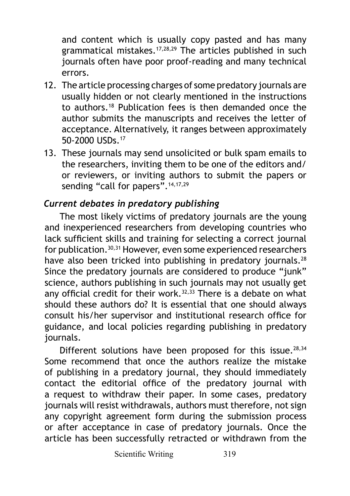and content which is usually copy pasted and has many grammatical mistakes.17,28,29 The articles published in such journals often have poor proof-reading and many technical errors.

- 12. The article processing charges of some predatory journals are usually hidden or not clearly mentioned in the instructions to authors.18 Publication fees is then demanded once the author submits the manuscripts and receives the letter of acceptance. Alternatively, it ranges between approximately 50-2000 USDs.17
- 13. These journals may send unsolicited or bulk spam emails to the researchers, inviting them to be one of the editors and/ or reviewers, or inviting authors to submit the papers or sending "call for papers". 14,17,29

## *Current debates in predatory publishing*

The most likely victims of predatory journals are the young and inexperienced researchers from developing countries who lack sufficient skills and training for selecting a correct journal for publication.<sup>30,31</sup> However, even some experienced researchers have also been tricked into publishing in predatory journals.<sup>28</sup> Since the predatory journals are considered to produce "junk" science, authors publishing in such journals may not usually get any official credit for their work. $32,33$  There is a debate on what should these authors do? It is essential that one should always consult his/her supervisor and institutional research office for guidance, and local policies regarding publishing in predatory journals.

Different solutions have been proposed for this issue. $28,34$ Some recommend that once the authors realize the mistake of publishing in a predatory journal, they should immediately contact the editorial office of the predatory journal with a request to withdraw their paper. In some cases, predatory journals will resist withdrawals, authors must therefore, not sign any copyright agreement form during the submission process or after acceptance in case of predatory journals. Once the article has been successfully retracted or withdrawn from the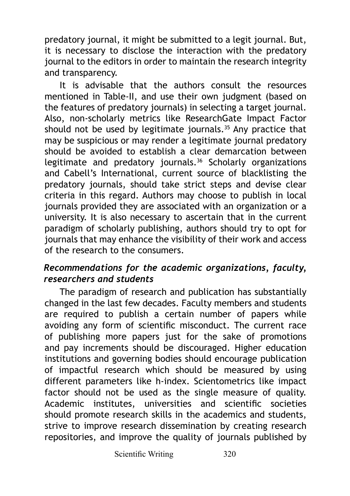predatory journal, it might be submitted to a legit journal. But, it is necessary to disclose the interaction with the predatory journal to the editors in order to maintain the research integrity and transparency.

It is advisable that the authors consult the resources mentioned in Table-II, and use their own judgment (based on the features of predatory journals) in selecting a target journal. Also, non-scholarly metrics like ResearchGate Impact Factor should not be used by legitimate journals. $35$  Any practice that may be suspicious or may render a legitimate journal predatory should be avoided to establish a clear demarcation between legitimate and predatory journals.36 Scholarly organizations and Cabell's International, current source of blacklisting the predatory journals, should take strict steps and devise clear criteria in this regard. Authors may choose to publish in local journals provided they are associated with an organization or a university. It is also necessary to ascertain that in the current paradigm of scholarly publishing, authors should try to opt for journals that may enhance the visibility of their work and access of the research to the consumers.

## *Recommendations for the academic organizations, faculty, researchers and students*

The paradigm of research and publication has substantially changed in the last few decades. Faculty members and students are required to publish a certain number of papers while avoiding any form of scientific misconduct. The current race of publishing more papers just for the sake of promotions and pay increments should be discouraged. Higher education institutions and governing bodies should encourage publication of impactful research which should be measured by using different parameters like h-index. Scientometrics like impact factor should not be used as the single measure of quality. Academic institutes, universities and scientific societies should promote research skills in the academics and students, strive to improve research dissemination by creating research repositories, and improve the quality of journals published by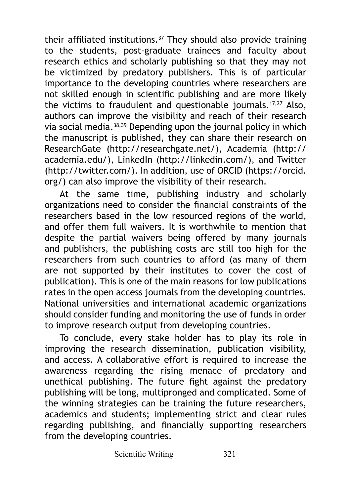their affiliated institutions.37 They should also provide training to the students, post-graduate trainees and faculty about research ethics and scholarly publishing so that they may not be victimized by predatory publishers. This is of particular importance to the developing countries where researchers are not skilled enough in scientific publishing and are more likely the victims to fraudulent and questionable journals.17,27 Also, authors can improve the visibility and reach of their research via social media.38,39 Depending upon the journal policy in which the manuscript is published, they can share their research on ResearchGate (<http://researchgate.net/>), Academia [\(http://](http://academia.edu/) [academia.edu/\)](http://academia.edu/), LinkedIn (<http://linkedin.com/>), and Twitter ([http://twitter.com/\)](http://twitter.com/). In addition, use of ORCID ([https://orcid.](https://orcid.org/) [org/](https://orcid.org/)) can also improve the visibility of their research.

At the same time, publishing industry and scholarly organizations need to consider the financial constraints of the researchers based in the low resourced regions of the world, and offer them full waivers. It is worthwhile to mention that despite the partial waivers being offered by many journals and publishers, the publishing costs are still too high for the researchers from such countries to afford (as many of them are not supported by their institutes to cover the cost of publication). This is one of the main reasons for low publications rates in the open access journals from the developing countries. National universities and international academic organizations should consider funding and monitoring the use of funds in order to improve research output from developing countries.

To conclude, every stake holder has to play its role in improving the research dissemination, publication visibility, and access. A collaborative effort is required to increase the awareness regarding the rising menace of predatory and unethical publishing. The future fight against the predatory publishing will be long, multipronged and complicated. Some of the winning strategies can be training the future researchers, academics and students; implementing strict and clear rules regarding publishing, and financially supporting researchers from the developing countries.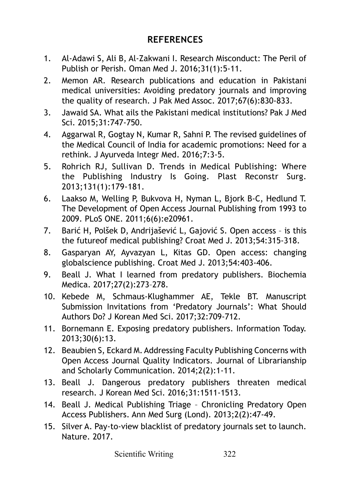### **REFERENCES**

- 1. Al-Adawi S, Ali B, Al-Zakwani I. Research Misconduct: The Peril of Publish or Perish. Oman Med J. 2016;31(1):5-11.
- 2. Memon AR. Research publications and education in Pakistani medical universities: Avoiding predatory journals and improving the quality of research. J Pak Med Assoc. 2017;67(6):830-833.
- 3. Jawaid SA. What ails the Pakistani medical institutions? Pak J Med Sci. 2015;31:747-750.
- 4. Aggarwal R, Gogtay N, Kumar R, Sahni P. The revised guidelines of the Medical Council of India for academic promotions: Need for a rethink. J Ayurveda Integr Med. 2016;7:3-5.
- 5. Rohrich RJ, Sullivan D. Trends in Medical Publishing: Where the Publishing Industry Is Going. Plast Reconstr Surg. 2013;131(1):179-181.
- 6. Laakso M, Welling P, Bukvova H, Nyman L, Bjork B-C, Hedlund T. The Development of Open Access Journal Publishing from 1993 to 2009. PLoS ONE. 2011;6(6):e20961.
- 7. Barić H, Polšek D, Andrijašević L, Gajović S. Open access is this the futureof medical publishing? Croat Med J. 2013;54:315-318.
- 8. Gasparyan AY, Ayvazyan L, Kitas GD. Open access: changing globalscience publishing. Croat Med J. 2013;54:403-406.
- 9. Beall J. What I learned from predatory publishers. Biochemia Medica. 2017;27(2):273–278.
- 10. Kebede M, Schmaus-Klughammer AE, Tekle BT. Manuscript Submission Invitations from 'Predatory Journals': What Should Authors Do? J Korean Med Sci. 2017;32:709-712.
- 11. Bornemann E. Exposing predatory publishers. Information Today. 2013;30(6):13.
- 12. Beaubien S, Eckard M. Addressing Faculty Publishing Concerns with Open Access Journal Quality Indicators. Journal of Librarianship and Scholarly Communication. 2014;2(2):1-11.
- 13. Beall J. Dangerous predatory publishers threaten medical research. J Korean Med Sci. 2016;31:1511-1513.
- 14. Beall J. Medical Publishing Triage Chronicling Predatory Open Access Publishers. Ann Med Surg (Lond). 2013;2(2):47-49.
- 15. Silver A. Pay-to-view blacklist of predatory journals set to launch. Nature. 2017.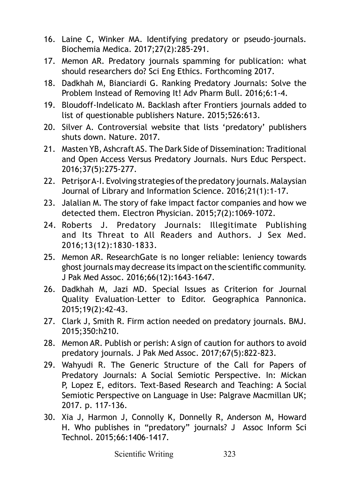- 16. Laine C, Winker MA. Identifying predatory or pseudo-journals. Biochemia Medica. 2017;27(2):285-291.
- 17. Memon AR. Predatory journals spamming for publication: what should researchers do? Sci Eng Ethics. Forthcoming 2017.
- 18. Dadkhah M, Bianciardi G. Ranking Predatory Journals: Solve the Problem Instead of Removing It! Adv Pharm Bull. 2016;6:1-4.
- 19. Bloudoff-Indelicato M. Backlash after Frontiers journals added to list of questionable publishers Nature. 2015;526:613.
- 20. Silver A. Controversial website that lists 'predatory' publishers shuts down. Nature. 2017.
- 21. Masten YB, Ashcraft AS. The Dark Side of Dissemination: Traditional and Open Access Versus Predatory Journals. Nurs Educ Perspect. 2016;37(5):275-277.
- 22. Petrişor A-I. Evolving strategies of the predatory journals. Malaysian Journal of Library and Information Science. 2016;21(1):1-17.
- 23. Jalalian M. The story of fake impact factor companies and how we detected them. Electron Physician. 2015;7(2):1069-1072.
- 24. Roberts J. Predatory Journals: Illegitimate Publishing and Its Threat to All Readers and Authors. J Sex Med. 2016;13(12):1830-1833.
- 25. Memon AR. ResearchGate is no longer reliable: leniency towards ghost journals may decrease its impact on the scientific community. J Pak Med Assoc. 2016;66(12):1643-1647.
- 26. Dadkhah M, Jazi MD. Special Issues as Criterion for Journal Quality Evaluation–Letter to Editor. Geographica Pannonica. 2015;19(2):42-43.
- 27. Clark J, Smith R. Firm action needed on predatory journals. BMJ. 2015;350:h210.
- 28. Memon AR. Publish or perish: A sign of caution for authors to avoid predatory journals. J Pak Med Assoc. 2017;67(5):822-823.
- 29. Wahyudi R. The Generic Structure of the Call for Papers of Predatory Journals: A Social Semiotic Perspective. In: Mickan P, Lopez E, editors. Text-Based Research and Teaching: A Social Semiotic Perspective on Language in Use: Palgrave Macmillan UK; 2017. p. 117-136.
- 30. Xia J, Harmon J, Connolly K, Donnelly R, Anderson M, Howard H. Who publishes in "predatory" journals? J Assoc Inform Sci Technol. 2015;66:1406-1417.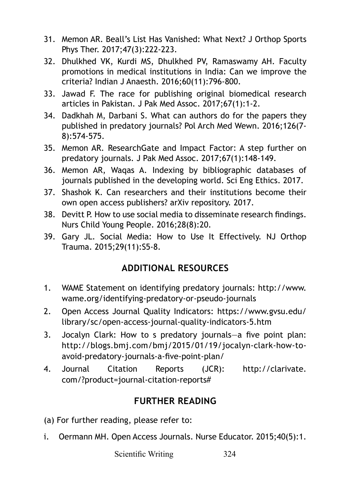- 31. Memon AR. Beall's List Has Vanished: What Next? J Orthop Sports Phys Ther. 2017;47(3):222-223.
- 32. Dhulkhed VK, Kurdi MS, Dhulkhed PV, Ramaswamy AH. Faculty promotions in medical institutions in India: Can we improve the criteria? Indian J Anaesth. 2016;60(11):796-800.
- 33. Jawad F. The race for publishing original biomedical research articles in Pakistan. J Pak Med Assoc. 2017;67(1):1-2.
- 34. Dadkhah M, Darbani S. What can authors do for the papers they published in predatory journals? Pol Arch Med Wewn. 2016;126(7- 8):574-575.
- 35. Memon AR. ResearchGate and Impact Factor: A step further on predatory journals. J Pak Med Assoc. 2017;67(1):148-149.
- 36. Memon AR, Waqas A. Indexing by bibliographic databases of journals published in the developing world. Sci Eng Ethics. 2017.
- 37. Shashok K. Can researchers and their institutions become their own open access publishers? arXiv repository. 2017.
- 38. Devitt P. How to use social media to disseminate research findings. Nurs Child Young People. 2016;28(8):20.
- 39. Gary JL. Social Media: How to Use It Effectively. NJ Orthop Trauma. 2015;29(11):S5-8.

### **ADDITIONAL RESOURCES**

- 1. WAME Statement on identifying predatory journals: [http://www.](http://www.wame.org/identifying-predatory-or-pseudo-journals) [wame.org/identifying-predatory-or-pseudo-journals](http://www.wame.org/identifying-predatory-or-pseudo-journals)
- 2. Open Access Journal Quality Indicators: [https://www.gvsu.edu/](https://www.gvsu.edu/library/sc/open-access-journal-quality-indicators-5.htm) [library/sc/open-access-journal-quality-indicators-5.htm](https://www.gvsu.edu/library/sc/open-access-journal-quality-indicators-5.htm)
- 3. Jocalyn Clark: How to s predatory journals—a five point plan: [http://blogs.bmj.com/bmj/2015/01/19/jocalyn-clark-how-to](http://blogs.bmj.com/bmj/2015/01/19/jocalyn-clark-how-to-avoid-predatory-journals-a-five-point-plan/)[avoid-predatory-journals-a-five-point-plan/](http://blogs.bmj.com/bmj/2015/01/19/jocalyn-clark-how-to-avoid-predatory-journals-a-five-point-plan/)
- 4. Journal Citation Reports (JCR): [http://clarivate.](http://clarivate.com/?product=journal-citation-reports) [com/?product=journal-citation-reports#](http://clarivate.com/?product=journal-citation-reports)

### **FURTHER READING**

- (a) For further reading, please refer to:
- i. Oermann MH. Open Access Journals. Nurse Educator. 2015;40(5):1.

Scientific Writing 324